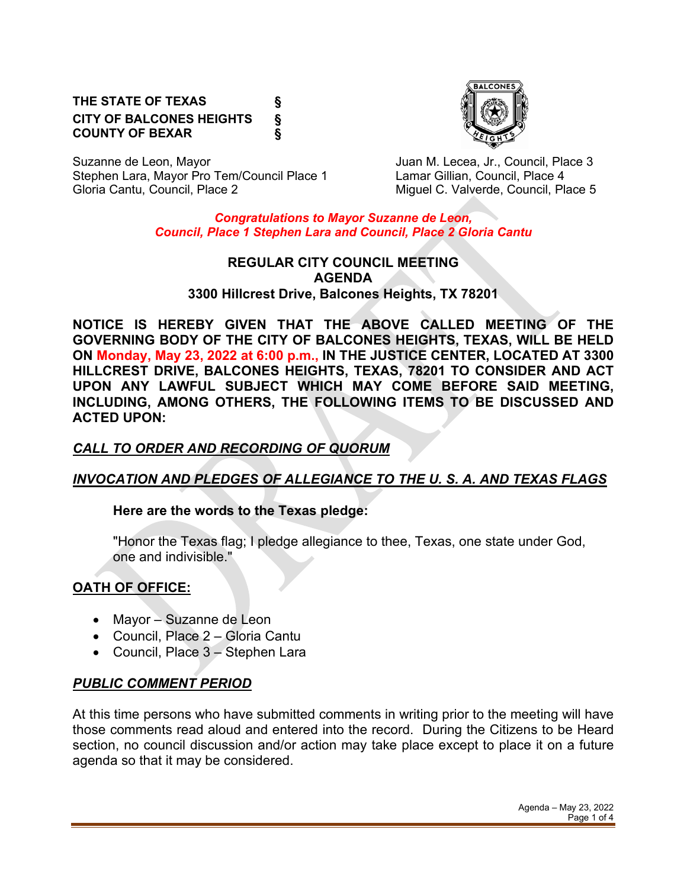#### **THE STATE OF TEXAS § CITY OF BALCONES HEIGHTS § COUNTY OF BEXAR §**



Suzanne de Leon, Mayor **Juan M. Lecea, Jr., Council, Place 3** Stephen Lara, Mayor Pro Tem/Council Place 1 Lamar Gillian, Council, Place 4

Miguel C. Valverde, Council, Place 5

*Congratulations to Mayor Suzanne de Leon, Council, Place 1 Stephen Lara and Council, Place 2 Gloria Cantu*

#### **REGULAR CITY COUNCIL MEETING AGENDA 3300 Hillcrest Drive, Balcones Heights, TX 78201**

**NOTICE IS HEREBY GIVEN THAT THE ABOVE CALLED MEETING OF THE GOVERNING BODY OF THE CITY OF BALCONES HEIGHTS, TEXAS, WILL BE HELD ON Monday, May 23, 2022 at 6:00 p.m., IN THE JUSTICE CENTER, LOCATED AT 3300 HILLCREST DRIVE, BALCONES HEIGHTS, TEXAS, 78201 TO CONSIDER AND ACT UPON ANY LAWFUL SUBJECT WHICH MAY COME BEFORE SAID MEETING, INCLUDING, AMONG OTHERS, THE FOLLOWING ITEMS TO BE DISCUSSED AND ACTED UPON:**

# *CALL TO ORDER AND RECORDING OF QUORUM*

# *INVOCATION AND PLEDGES OF ALLEGIANCE TO THE U. S. A. AND TEXAS FLAGS*

### **Here are the words to the Texas pledge:**

"Honor the Texas flag; I pledge allegiance to thee, Texas, one state under God, one and indivisible."

# **OATH OF OFFICE:**

- Mayor Suzanne de Leon
- Council, Place 2 Gloria Cantu
- Council, Place 3 Stephen Lara

# *PUBLIC COMMENT PERIOD*

At this time persons who have submitted comments in writing prior to the meeting will have those comments read aloud and entered into the record. During the Citizens to be Heard section, no council discussion and/or action may take place except to place it on a future agenda so that it may be considered.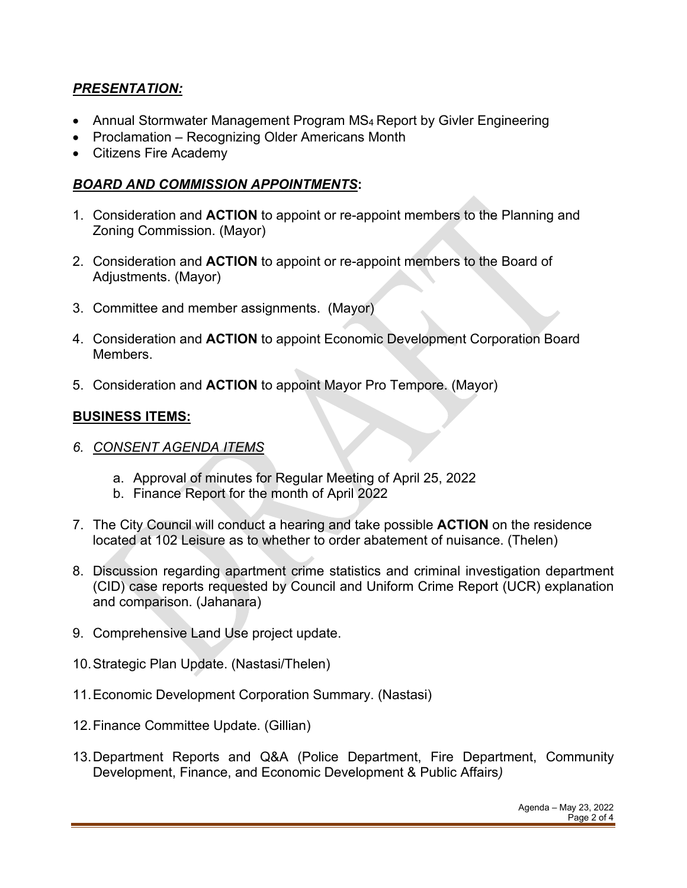### *PRESENTATION:*

- Annual Stormwater Management Program MS4 Report by Givler Engineering
- Proclamation Recognizing Older Americans Month
- Citizens Fire Academy

### *BOARD AND COMMISSION APPOINTMENTS***:**

- 1. Consideration and **ACTION** to appoint or re-appoint members to the Planning and Zoning Commission. (Mayor)
- 2. Consideration and **ACTION** to appoint or re-appoint members to the Board of Adjustments. (Mayor)
- 3. Committee and member assignments. (Mayor)
- 4. Consideration and **ACTION** to appoint Economic Development Corporation Board Members.
- 5. Consideration and **ACTION** to appoint Mayor Pro Tempore. (Mayor)

#### **BUSINESS ITEMS:**

- *6. CONSENT AGENDA ITEMS*
	- a. Approval of minutes for Regular Meeting of April 25, 2022
	- b. Finance Report for the month of April 2022
- 7. The City Council will conduct a hearing and take possible **ACTION** on the residence located at 102 Leisure as to whether to order abatement of nuisance. (Thelen)
- 8. Discussion regarding apartment crime statistics and criminal investigation department (CID) case reports requested by Council and Uniform Crime Report (UCR) explanation and comparison. (Jahanara)
- 9. Comprehensive Land Use project update.
- 10.Strategic Plan Update. (Nastasi/Thelen)
- 11.Economic Development Corporation Summary. (Nastasi)
- 12.Finance Committee Update. (Gillian)
- 13.Department Reports and Q&A (Police Department, Fire Department, Community Development, Finance, and Economic Development & Public Affairs*)*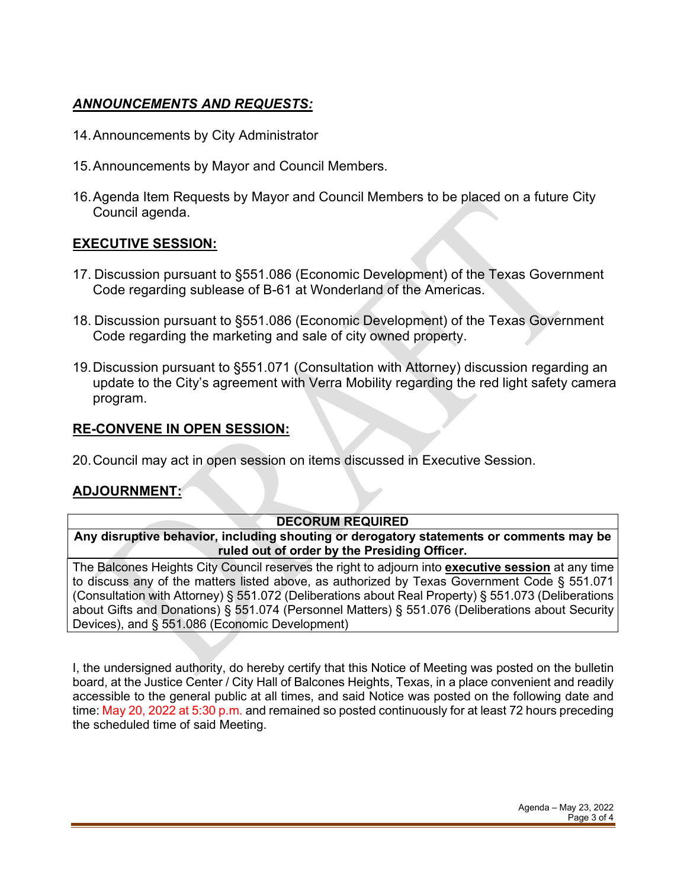# *ANNOUNCEMENTS AND REQUESTS:*

- 14.Announcements by City Administrator
- 15.Announcements by Mayor and Council Members.
- 16.Agenda Item Requests by Mayor and Council Members to be placed on a future City Council agenda.

### **EXECUTIVE SESSION:**

- 17. Discussion pursuant to §551.086 (Economic Development) of the Texas Government Code regarding sublease of B-61 at Wonderland of the Americas.
- 18. Discussion pursuant to §551.086 (Economic Development) of the Texas Government Code regarding the marketing and sale of city owned property.
- 19.Discussion pursuant to §551.071 (Consultation with Attorney) discussion regarding an update to the City's agreement with Verra Mobility regarding the red light safety camera program.

#### **RE-CONVENE IN OPEN SESSION:**

20.Council may act in open session on items discussed in Executive Session.

### **ADJOURNMENT:**

#### **DECORUM REQUIRED**

**Any disruptive behavior, including shouting or derogatory statements or comments may be ruled out of order by the Presiding Officer.** 

The Balcones Heights City Council reserves the right to adjourn into **executive session** at any time to discuss any of the matters listed above, as authorized by Texas Government Code § 551.071 (Consultation with Attorney) § 551.072 (Deliberations about Real Property) § 551.073 (Deliberations about Gifts and Donations) § 551.074 (Personnel Matters) § 551.076 (Deliberations about Security Devices), and § 551.086 (Economic Development)

I, the undersigned authority, do hereby certify that this Notice of Meeting was posted on the bulletin board, at the Justice Center / City Hall of Balcones Heights, Texas, in a place convenient and readily accessible to the general public at all times, and said Notice was posted on the following date and time: May 20, 2022 at 5:30 p.m. and remained so posted continuously for at least 72 hours preceding the scheduled time of said Meeting.